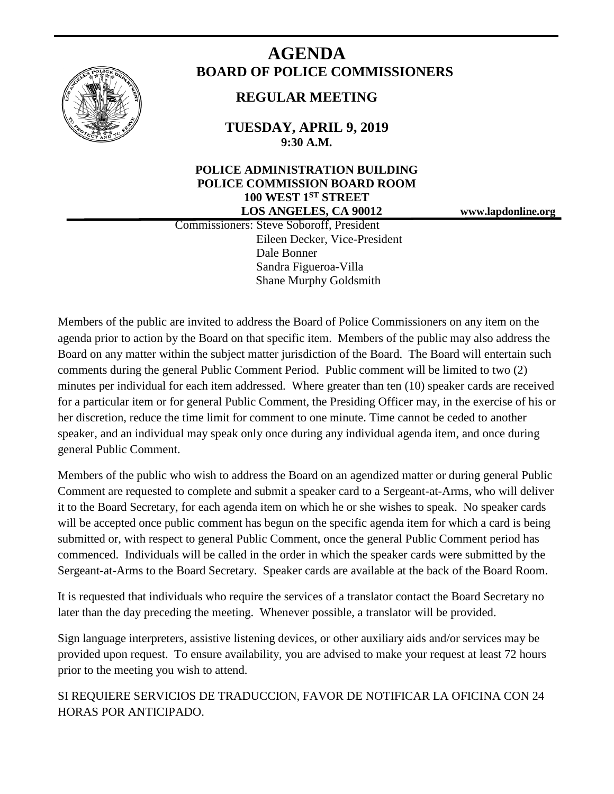

# **AGENDA BOARD OF POLICE COMMISSIONERS**

# **REGULAR MEETING**

**TUESDAY, APRIL 9, 2019 9:30 A.M.**

# **POLICE ADMINISTRATION BUILDING POLICE COMMISSION BOARD ROOM 100 WEST 1ST STREET LOS ANGELES, CA 90012 www.lapdonline.org**

 Commissioners: Steve Soboroff, President Eileen Decker, Vice-President Dale Bonner Sandra Figueroa-Villa Shane Murphy Goldsmith

Members of the public are invited to address the Board of Police Commissioners on any item on the agenda prior to action by the Board on that specific item. Members of the public may also address the Board on any matter within the subject matter jurisdiction of the Board. The Board will entertain such comments during the general Public Comment Period. Public comment will be limited to two (2) minutes per individual for each item addressed. Where greater than ten (10) speaker cards are received for a particular item or for general Public Comment, the Presiding Officer may, in the exercise of his or her discretion, reduce the time limit for comment to one minute. Time cannot be ceded to another speaker, and an individual may speak only once during any individual agenda item, and once during general Public Comment.

Members of the public who wish to address the Board on an agendized matter or during general Public Comment are requested to complete and submit a speaker card to a Sergeant-at-Arms, who will deliver it to the Board Secretary, for each agenda item on which he or she wishes to speak. No speaker cards will be accepted once public comment has begun on the specific agenda item for which a card is being submitted or, with respect to general Public Comment, once the general Public Comment period has commenced. Individuals will be called in the order in which the speaker cards were submitted by the Sergeant-at-Arms to the Board Secretary. Speaker cards are available at the back of the Board Room.

It is requested that individuals who require the services of a translator contact the Board Secretary no later than the day preceding the meeting. Whenever possible, a translator will be provided.

Sign language interpreters, assistive listening devices, or other auxiliary aids and/or services may be provided upon request. To ensure availability, you are advised to make your request at least 72 hours prior to the meeting you wish to attend.

SI REQUIERE SERVICIOS DE TRADUCCION, FAVOR DE NOTIFICAR LA OFICINA CON 24 HORAS POR ANTICIPADO.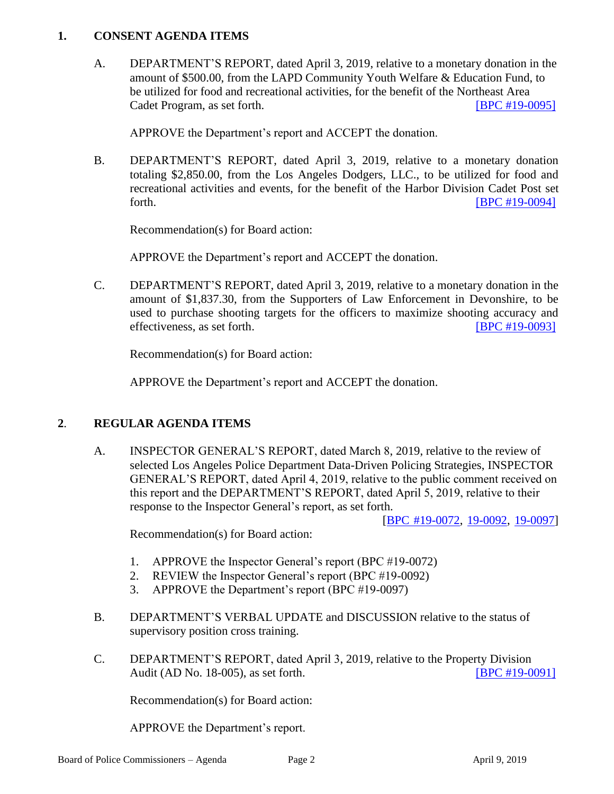### **1. CONSENT AGENDA ITEMS**

A. DEPARTMENT'S REPORT, dated April 3, 2019, relative to a monetary donation in the amount of \$500.00, from the LAPD Community Youth Welfare & Education Fund, to be utilized for food and recreational activities, for the benefit of the Northeast Area Cadet Program, as set forth. **IDPC #19-0095** 

APPROVE the Department's report and ACCEPT the donation.

B. DEPARTMENT'S REPORT, dated April 3, 2019, relative to a monetary donation totaling \$2,850.00, from the Los Angeles Dodgers, LLC., to be utilized for food and recreational activities and events, for the benefit of the Harbor Division Cadet Post set forth. [\[BPC #19-0094\]](http://www.lapdpolicecom.lacity.org/040919/BPC_19-0094.pdf)

Recommendation(s) for Board action:

APPROVE the Department's report and ACCEPT the donation.

C. DEPARTMENT'S REPORT, dated April 3, 2019, relative to a monetary donation in the amount of \$1,837.30, from the Supporters of Law Enforcement in Devonshire, to be used to purchase shooting targets for the officers to maximize shooting accuracy and effectiveness, as set forth. **IBPC #19-00931** 

Recommendation(s) for Board action:

APPROVE the Department's report and ACCEPT the donation.

## **2**. **REGULAR AGENDA ITEMS**

A. INSPECTOR GENERAL'S REPORT, dated March 8, 2019, relative to the review of selected Los Angeles Police Department Data-Driven Policing Strategies, INSPECTOR GENERAL'S REPORT, dated April 4, 2019, relative to the public comment received on this report and the DEPARTMENT'S REPORT, dated April 5, 2019, relative to their response to the Inspector General's report, as set forth.

[\[BPC #19-0072,](http://www.lapdpolicecom.lacity.org/040919/BPC_19-0072.pdf) [19-0092,](http://www.lapdpolicecom.lacity.org/040919/BPC_19-0092.pdf) [19-0097\]](http://www.lapdpolicecom.lacity.org/040919/BPC_19-0097.pdf)

Recommendation(s) for Board action:

- 1. APPROVE the Inspector General's report (BPC #19-0072)
- 2. REVIEW the Inspector General's report (BPC #19-0092)
- 3. APPROVE the Department's report (BPC #19-0097)
- B. DEPARTMENT'S VERBAL UPDATE and DISCUSSION relative to the status of supervisory position cross training.
- C. DEPARTMENT'S REPORT, dated April 3, 2019, relative to the Property Division Audit (AD No. 18-005), as set forth. [\[BPC #19-0091\]](http://www.lapdpolicecom.lacity.org/040919/BPC_19-0091.pdf)

Recommendation(s) for Board action:

APPROVE the Department's report.